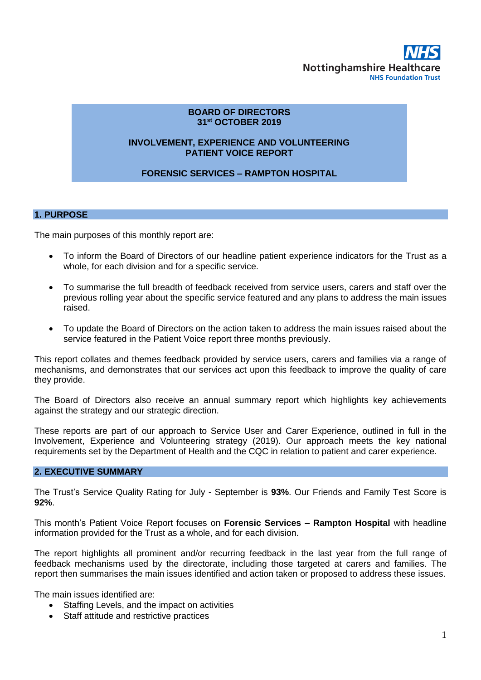

## **BOARD OF DIRECTORS 31st OCTOBER 2019**

### **INVOLVEMENT, EXPERIENCE AND VOLUNTEERING PATIENT VOICE REPORT**

## **FORENSIC SERVICES – RAMPTON HOSPITAL**

### **1. PURPOSE**

The main purposes of this monthly report are:

- To inform the Board of Directors of our headline patient experience indicators for the Trust as a whole, for each division and for a specific service.
- To summarise the full breadth of feedback received from service users, carers and staff over the previous rolling year about the specific service featured and any plans to address the main issues raised.
- To update the Board of Directors on the action taken to address the main issues raised about the service featured in the Patient Voice report three months previously.

This report collates and themes feedback provided by service users, carers and families via a range of mechanisms, and demonstrates that our services act upon this feedback to improve the quality of care they provide.

The Board of Directors also receive an annual summary report which highlights key achievements against the strategy and our strategic direction.

These reports are part of our approach to Service User and Carer Experience, outlined in full in the Involvement, Experience and Volunteering strategy (2019). Our approach meets the key national requirements set by the Department of Health and the CQC in relation to patient and carer experience.

#### **2. EXECUTIVE SUMMARY**

The Trust's Service Quality Rating for July - September is **93%**. Our Friends and Family Test Score is **92%**.

This month's Patient Voice Report focuses on **Forensic Services – Rampton Hospital** with headline information provided for the Trust as a whole, and for each division.

The report highlights all prominent and/or recurring feedback in the last year from the full range of feedback mechanisms used by the directorate, including those targeted at carers and families. The report then summarises the main issues identified and action taken or proposed to address these issues.

The main issues identified are:

- Staffing Levels, and the impact on activities
- Staff attitude and restrictive practices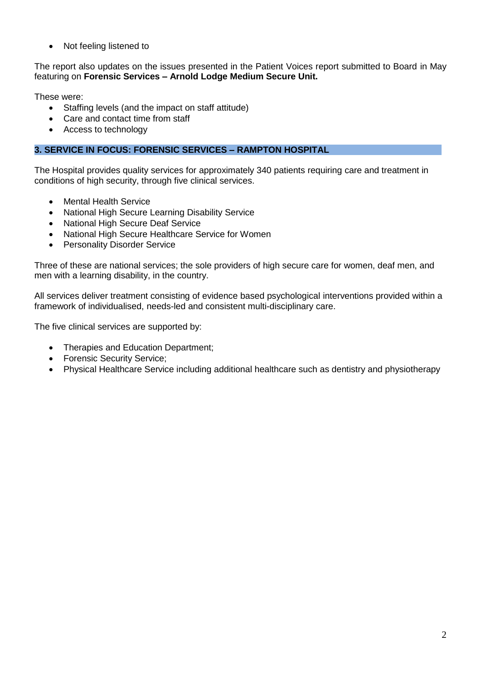• Not feeling listened to

The report also updates on the issues presented in the Patient Voices report submitted to Board in May featuring on **Forensic Services – Arnold Lodge Medium Secure Unit.**

These were:

- Staffing levels (and the impact on staff attitude)
- Care and contact time from staff
- Access to technology

## **3. SERVICE IN FOCUS: FORENSIC SERVICES – RAMPTON HOSPITAL**

The Hospital provides quality services for approximately 340 patients requiring care and treatment in conditions of high security, through five clinical services.

- Mental Health Service
- National High Secure Learning Disability Service
- National High Secure Deaf Service
- National High Secure Healthcare Service for Women
- Personality Disorder Service

Three of these are national services; the sole providers of high secure care for women, deaf men, and men with a learning disability, in the country.

All services deliver treatment consisting of evidence based psychological interventions provided within a framework of individualised, needs-led and consistent multi-disciplinary care.

The five clinical services are supported by:

- Therapies and Education Department;
- **Forensic Security Service;**
- Physical Healthcare Service including additional healthcare such as dentistry and physiotherapy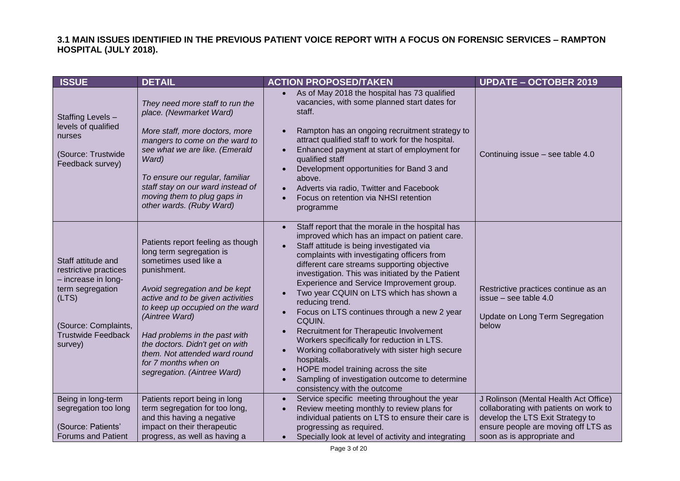### **3.1 MAIN ISSUES IDENTIFIED IN THE PREVIOUS PATIENT VOICE REPORT WITH A FOCUS ON FORENSIC SERVICES – RAMPTON HOSPITAL (JULY 2018).**

| <b>ISSUE</b>                                                                                                                                                    | <b>DETAIL</b>                                                                                                                                                                                                                                                                                                                                                                                | <b>ACTION PROPOSED/TAKEN</b>                                                                                                                                                                                                                                                                                                                                                                                                                                                                                                                                                                                                                                                                                                                                                                                            | <b>UPDATE - OCTOBER 2019</b>                                                                                                                                                             |
|-----------------------------------------------------------------------------------------------------------------------------------------------------------------|----------------------------------------------------------------------------------------------------------------------------------------------------------------------------------------------------------------------------------------------------------------------------------------------------------------------------------------------------------------------------------------------|-------------------------------------------------------------------------------------------------------------------------------------------------------------------------------------------------------------------------------------------------------------------------------------------------------------------------------------------------------------------------------------------------------------------------------------------------------------------------------------------------------------------------------------------------------------------------------------------------------------------------------------------------------------------------------------------------------------------------------------------------------------------------------------------------------------------------|------------------------------------------------------------------------------------------------------------------------------------------------------------------------------------------|
| Staffing Levels-<br>levels of qualified<br>nurses<br>(Source: Trustwide<br>Feedback survey)                                                                     | They need more staff to run the<br>place. (Newmarket Ward)<br>More staff, more doctors, more<br>mangers to come on the ward to<br>see what we are like. (Emerald<br>Ward)<br>To ensure our regular, familiar<br>staff stay on our ward instead of<br>moving them to plug gaps in<br>other wards. (Ruby Ward)                                                                                 | As of May 2018 the hospital has 73 qualified<br>vacancies, with some planned start dates for<br>staff.<br>Rampton has an ongoing recruitment strategy to<br>$\bullet$<br>attract qualified staff to work for the hospital.<br>Enhanced payment at start of employment for<br>$\bullet$<br>qualified staff<br>Development opportunities for Band 3 and<br>$\bullet$<br>above.<br>Adverts via radio, Twitter and Facebook<br>$\bullet$<br>Focus on retention via NHSI retention<br>$\bullet$<br>programme                                                                                                                                                                                                                                                                                                                 | Continuing issue - see table 4.0                                                                                                                                                         |
| Staff attitude and<br>restrictive practices<br>- increase in long-<br>term segregation<br>(LTS)<br>(Source: Complaints,<br><b>Trustwide Feedback</b><br>survey) | Patients report feeling as though<br>long term segregation is<br>sometimes used like a<br>punishment.<br>Avoid segregation and be kept<br>active and to be given activities<br>to keep up occupied on the ward<br>(Aintree Ward)<br>Had problems in the past with<br>the doctors. Didn't get on with<br>them. Not attended ward round<br>for 7 months when on<br>segregation. (Aintree Ward) | Staff report that the morale in the hospital has<br>$\bullet$<br>improved which has an impact on patient care.<br>Staff attitude is being investigated via<br>complaints with investigating officers from<br>different care streams supporting objective<br>investigation. This was initiated by the Patient<br>Experience and Service Improvement group.<br>Two year CQUIN on LTS which has shown a<br>$\bullet$<br>reducing trend.<br>Focus on LTS continues through a new 2 year<br>$\bullet$<br>CQUIN.<br>Recruitment for Therapeutic Involvement<br>Workers specifically for reduction in LTS.<br>Working collaboratively with sister high secure<br>$\bullet$<br>hospitals.<br>HOPE model training across the site<br>$\bullet$<br>Sampling of investigation outcome to determine<br>consistency with the outcome | Restrictive practices continue as an<br>issue - see table 4.0<br>Update on Long Term Segregation<br>below                                                                                |
| Being in long-term<br>segregation too long<br>(Source: Patients'<br><b>Forums and Patient</b>                                                                   | Patients report being in long<br>term segregation for too long,<br>and this having a negative<br>impact on their therapeutic<br>progress, as well as having a                                                                                                                                                                                                                                | Service specific meeting throughout the year<br>$\bullet$<br>Review meeting monthly to review plans for<br>individual patients on LTS to ensure their care is<br>progressing as required.<br>Specially look at level of activity and integrating<br>$\bullet$                                                                                                                                                                                                                                                                                                                                                                                                                                                                                                                                                           | J Rolinson (Mental Health Act Office)<br>collaborating with patients on work to<br>develop the LTS Exit Strategy to<br>ensure people are moving off LTS as<br>soon as is appropriate and |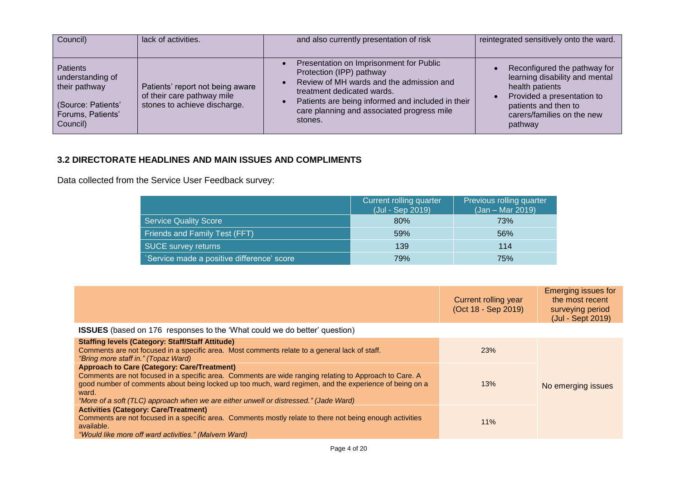| Council)                                                                                                    | lack of activities.                                                                            | and also currently presentation of risk                                                                                                                                                                                                                                  | reintegrated sensitively onto the ward.                                                                                                                                          |
|-------------------------------------------------------------------------------------------------------------|------------------------------------------------------------------------------------------------|--------------------------------------------------------------------------------------------------------------------------------------------------------------------------------------------------------------------------------------------------------------------------|----------------------------------------------------------------------------------------------------------------------------------------------------------------------------------|
| <b>Patients</b><br>understanding of<br>their pathway<br>(Source: Patients'<br>Forums, Patients'<br>Council) | Patients' report not being aware<br>of their care pathway mile<br>stones to achieve discharge. | Presentation on Imprisonment for Public<br>$\bullet$<br>Protection (IPP) pathway<br>Review of MH wards and the admission and<br>treatment dedicated wards.<br>Patients are being informed and included in their<br>care planning and associated progress mile<br>stones. | Reconfigured the pathway for<br>learning disability and mental<br>health patients<br>Provided a presentation to<br>patients and then to<br>carers/families on the new<br>pathway |

# **3.2 DIRECTORATE HEADLINES AND MAIN ISSUES AND COMPLIMENTS**

Data collected from the Service User Feedback survey:

|                                            | Current rolling quarter<br>(Jul - Sep 2019) | Previous rolling quarter<br>$(Jan - Mar 2019)$ |
|--------------------------------------------|---------------------------------------------|------------------------------------------------|
| <b>Service Quality Score</b>               | 80%                                         | 73%                                            |
| <b>Friends and Family Test (FFT)</b>       | 59%                                         | 56%                                            |
| <b>SUCE survey returns</b>                 | 139                                         | 114                                            |
| 'Service made a positive difference' score | 79%                                         | 75%                                            |

|                                                                                                                                                                                                                                                                                                                                                                         | Current rolling year<br>(Oct 18 - Sep 2019) | <b>Emerging issues for</b><br>the most recent<br>surveying period<br>(Jul - Sept 2019) |
|-------------------------------------------------------------------------------------------------------------------------------------------------------------------------------------------------------------------------------------------------------------------------------------------------------------------------------------------------------------------------|---------------------------------------------|----------------------------------------------------------------------------------------|
| <b>ISSUES</b> (based on 176 responses to the 'What could we do better' question)                                                                                                                                                                                                                                                                                        |                                             |                                                                                        |
| <b>Staffing levels (Category: Staff/Staff Attitude)</b><br>Comments are not focused in a specific area. Most comments relate to a general lack of staff.<br>"Bring more staff in." (Topaz Ward)                                                                                                                                                                         | <b>23%</b>                                  |                                                                                        |
| <b>Approach to Care (Category: Care/Treatment)</b><br>Comments are not focused in a specific area. Comments are wide ranging relating to Approach to Care. A<br>good number of comments about being locked up too much, ward regimen, and the experience of being on a<br>ward.<br>"More of a soft (TLC) approach when we are either unwell or distressed." (Jade Ward) | 13%                                         | No emerging issues                                                                     |
| <b>Activities (Category: Care/Treatment)</b><br>Comments are not focused in a specific area. Comments mostly relate to there not being enough activities<br>available.<br>"Would like more off ward activities." (Malvern Ward)                                                                                                                                         | 11%                                         |                                                                                        |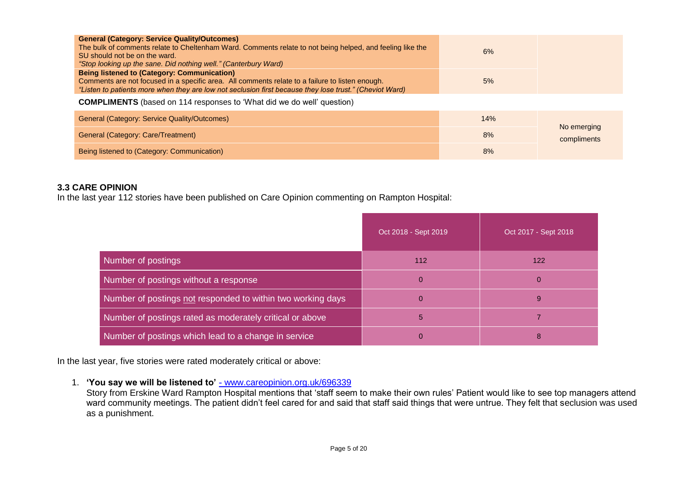| <b>General (Category: Service Quality/Outcomes)</b><br>The bulk of comments relate to Cheltenham Ward. Comments relate to not being helped, and feeling like the<br>SU should not be on the ward.<br>"Stop looking up the sane. Did nothing well." (Canterbury Ward) | 6% |
|----------------------------------------------------------------------------------------------------------------------------------------------------------------------------------------------------------------------------------------------------------------------|----|
| <b>Being listened to (Category: Communication)</b><br>Comments are not focused in a specific area. All comments relate to a failure to listen enough.<br>"Listen to patients more when they are low not seclusion first because they lose trust." (Cheviot Ward)     | 5% |

**COMPLIMENTS** (based on 114 responses to 'What did we do well' question)

| <b>General (Category: Service Quality/Outcomes)</b> | 14% | No emerging |
|-----------------------------------------------------|-----|-------------|
| General (Category: Care/Treatment)                  | 8%  | compliments |
| Being listened to (Category: Communication)         | 8%  |             |

### **3.3 CARE OPINION**

In the last year 112 stories have been published on Care Opinion commenting on Rampton Hospital:

|                                                             | Oct 2018 - Sept 2019 | Oct 2017 - Sept 2018 |
|-------------------------------------------------------------|----------------------|----------------------|
| Number of postings                                          | 112                  | 122                  |
| Number of postings without a response                       | 0                    | $\mathbf 0$          |
| Number of postings not responded to within two working days | 0                    | 9                    |
| Number of postings rated as moderately critical or above    | 5                    |                      |
| Number of postings which lead to a change in service        | 0                    | 8                    |

In the last year, five stories were rated moderately critical or above:

1. **'You say we will be listened to'** - www.careopinion.org.uk/696339

Story from Erskine Ward Rampton Hospital mentions that 'staff seem to make their own rules' Patient would like to see top managers attend ward community meetings. The patient didn't feel cared for and said that staff said things that were untrue. They felt that seclusion was used as a punishment.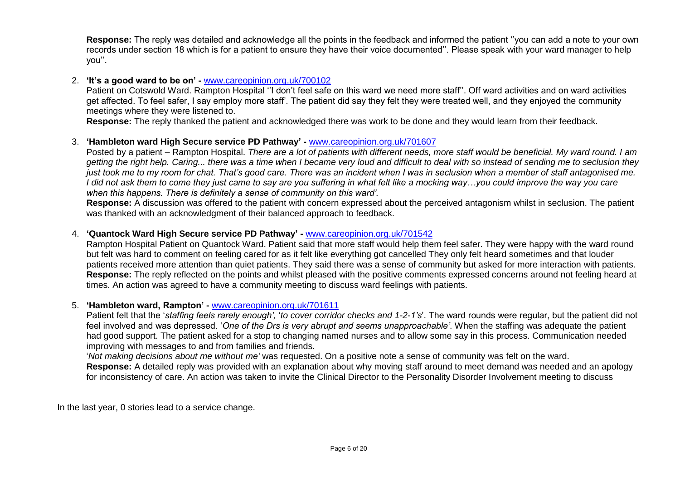**Response:** The reply was detailed and acknowledge all the points in the feedback and informed the patient ''you can add a note to your own records under section 18 which is for a patient to ensure they have their voice documented''. Please speak with your ward manager to help you''.

## 2. **'It's a good ward to be on' -** [www.careopinion.org.uk/700102](http://www.careopinion.org.uk/700102)

Patient on Cotswold Ward. Rampton Hospital ''I don't feel safe on this ward we need more staff''. Off ward activities and on ward activities get affected. To feel safer, I say employ more staff'. The patient did say they felt they were treated well, and they enjoyed the community meetings where they were listened to.

**Response:** The reply thanked the patient and acknowledged there was work to be done and they would learn from their feedback.

### 3. **'Hambleton ward High Secure service PD Pathway' -** [www.careopinion.org.uk/701607](http://www.careopinion.org.uk/701607)

Posted by a patient *–* Rampton Hospital. *There are a lot of patients with different needs, more staff would be beneficial. My ward round. I am getting the right help. Caring... there was a time when I became very loud and difficult to deal with so instead of sending me to seclusion they just took me to my room for chat. That's good care. There was an incident when I was in seclusion when a member of staff antagonised me. I did not ask them to come they just came to say are you suffering in what felt like a mocking way…you could improve the way you care when this happens. There is definitely a sense of community on this ward'.* 

**Response:** A discussion was offered to the patient with concern expressed about the perceived antagonism whilst in seclusion. The patient was thanked with an acknowledgment of their balanced approach to feedback.

### 4. **'Quantock Ward High Secure service PD Pathway' -** [www.careopinion.org.uk/701542](http://www.careopinion.org.uk/701542)

Rampton Hospital Patient on Quantock Ward. Patient said that more staff would help them feel safer. They were happy with the ward round but felt was hard to comment on feeling cared for as it felt like everything got cancelled They only felt heard sometimes and that louder patients received more attention than quiet patients. They said there was a sense of community but asked for more interaction with patients. **Response:** The reply reflected on the points and whilst pleased with the positive comments expressed concerns around not feeling heard at times. An action was agreed to have a community meeting to discuss ward feelings with patients.

### 5. **'Hambleton ward, Rampton' -** [www.careopinion.org.uk/701611](http://www.careopinion.org.uk/701611)

Patient felt that the '*staffing feels rarely enough',* '*to cover corridor checks and 1-2-1's*'. The ward rounds were regular, but the patient did not feel involved and was depressed. '*One of the Drs is very abrupt and seems unapproachable'*. When the staffing was adequate the patient had good support. The patient asked for a stop to changing named nurses and to allow some say in this process. Communication needed improving with messages to and from families and friends.

'*Not making decisions about me without me'* was requested. On a positive note a sense of community was felt on the ward.

**Response:** A detailed reply was provided with an explanation about why moving staff around to meet demand was needed and an apology for inconsistency of care. An action was taken to invite the Clinical Director to the Personality Disorder Involvement meeting to discuss

In the last year, 0 stories lead to a service change.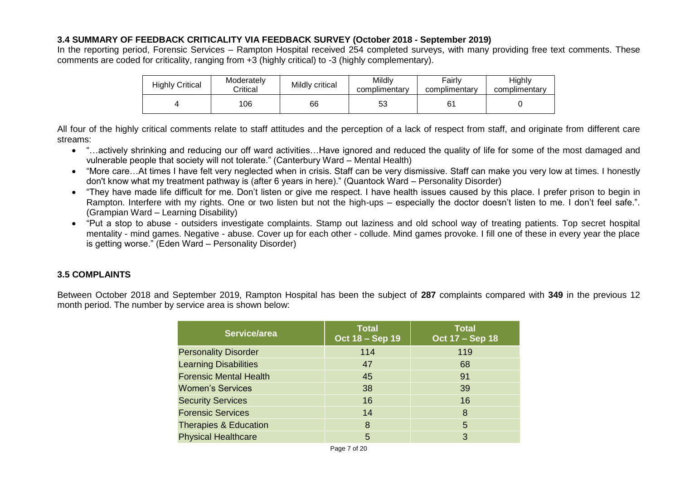## **3.4 SUMMARY OF FEEDBACK CRITICALITY VIA FEEDBACK SURVEY (October 2018 - September 2019)**

In the reporting period, Forensic Services – Rampton Hospital received 254 completed surveys, with many providing free text comments. These comments are coded for criticality, ranging from +3 (highly critical) to -3 (highly complementary).

| <b>Highly Critical</b> | Moderately<br>Critical | Mildly critical | Mildly<br>complimentary | Fairly<br>complimentary | Highly<br>complimentary |
|------------------------|------------------------|-----------------|-------------------------|-------------------------|-------------------------|
|                        | 106                    | 66              | ວວ                      | 61                      |                         |

All four of the highly critical comments relate to staff attitudes and the perception of a lack of respect from staff, and originate from different care streams:

- "…actively shrinking and reducing our off ward activities…Have ignored and reduced the quality of life for some of the most damaged and vulnerable people that society will not tolerate." (Canterbury Ward – Mental Health)
- "More care…At times I have felt very neglected when in crisis. Staff can be very dismissive. Staff can make you very low at times. I honestly don't know what my treatment pathway is (after 6 years in here)." (Quantock Ward – Personality Disorder)
- "They have made life difficult for me. Don't listen or give me respect. I have health issues caused by this place. I prefer prison to begin in Rampton. Interfere with my rights. One or two listen but not the high-ups – especially the doctor doesn't listen to me. I don't feel safe.". (Grampian Ward – Learning Disability)
- "Put a stop to abuse outsiders investigate complaints. Stamp out laziness and old school way of treating patients. Top secret hospital mentality - mind games. Negative - abuse. Cover up for each other - collude. Mind games provoke. I fill one of these in every year the place is getting worse." (Eden Ward – Personality Disorder)

# **3.5 COMPLAINTS**

Between October 2018 and September 2019, Rampton Hospital has been the subject of **287** complaints compared with **349** in the previous 12 month period. The number by service area is shown below:

| <b>Total</b><br>Oct 18 - Sep 19 | <b>Total</b><br>Oct 17 - Sep 18 |
|---------------------------------|---------------------------------|
| 114                             | 119                             |
| 47                              | 68                              |
| 45                              | 91                              |
| 38                              | 39                              |
| 16                              | 16                              |
| 14                              | 8                               |
| 8                               | 5                               |
| 5                               | 3                               |
|                                 |                                 |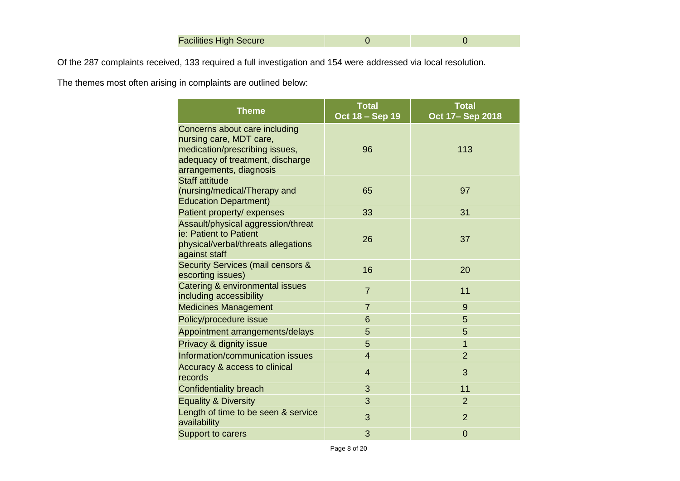Of the 287 complaints received, 133 required a full investigation and 154 were addressed via local resolution.

The themes most often arising in complaints are outlined below:

| <b>Theme</b>                                                                                                                                              | <b>Total</b><br>Oct 18 - Sep 19 | <b>Total</b><br>Oct 17-Sep 2018 |
|-----------------------------------------------------------------------------------------------------------------------------------------------------------|---------------------------------|---------------------------------|
| Concerns about care including<br>nursing care, MDT care,<br>medication/prescribing issues,<br>adequacy of treatment, discharge<br>arrangements, diagnosis | 96                              | 113                             |
| <b>Staff attitude</b><br>(nursing/medical/Therapy and<br><b>Education Department)</b>                                                                     | 65                              | 97                              |
| Patient property/ expenses                                                                                                                                | 33                              | 31                              |
| Assault/physical aggression/threat<br>ie: Patient to Patient<br>physical/verbal/threats allegations<br>against staff                                      | 26                              | 37                              |
| <b>Security Services (mail censors &amp;</b><br>escorting issues)                                                                                         | 16                              | 20                              |
| Catering & environmental issues<br>including accessibility                                                                                                | $\overline{7}$                  | 11                              |
| <b>Medicines Management</b>                                                                                                                               | $\overline{7}$                  | 9                               |
| Policy/procedure issue                                                                                                                                    | 6                               | 5                               |
| Appointment arrangements/delays                                                                                                                           | 5                               | 5                               |
| Privacy & dignity issue                                                                                                                                   | 5                               | $\overline{1}$                  |
| Information/communication issues                                                                                                                          | $\overline{4}$                  | $\overline{2}$                  |
| Accuracy & access to clinical<br>records                                                                                                                  | $\overline{4}$                  | 3                               |
| <b>Confidentiality breach</b>                                                                                                                             | 3                               | 11                              |
| <b>Equality &amp; Diversity</b>                                                                                                                           | 3                               | $\overline{2}$                  |
| Length of time to be seen & service<br>availability                                                                                                       | 3                               | $\overline{2}$                  |
| Support to carers                                                                                                                                         | 3                               | $\overline{0}$                  |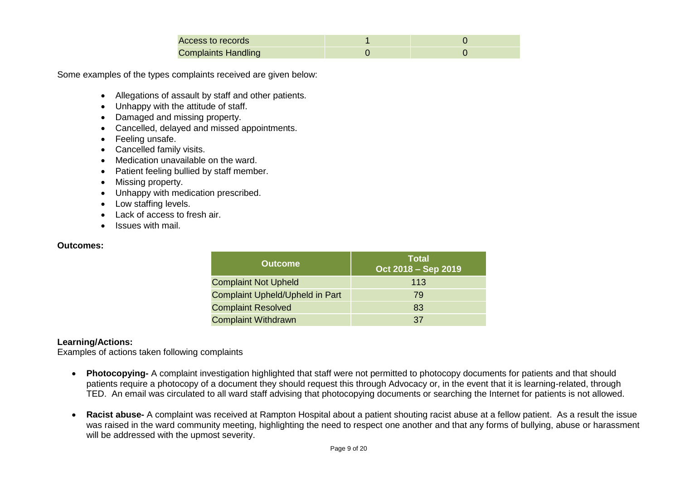| Access to records          |  |
|----------------------------|--|
| <b>Complaints Handling</b> |  |

Some examples of the types complaints received are given below:

- Allegations of assault by staff and other patients.
- Unhappy with the attitude of staff.
- Damaged and missing property.
- Cancelled, delayed and missed appointments.
- Feeling unsafe.
- Cancelled family visits.
- Medication unavailable on the ward.
- Patient feeling bullied by staff member.
- Missing property.
- Unhappy with medication prescribed.
- Low staffing levels.
- Lack of access to fresh air.
- Issues with mail.

#### **Outcomes:**

| <b>Outcome</b>                         | <b>Total</b><br>Oct 2018 - Sep 2019 |
|----------------------------------------|-------------------------------------|
| <b>Complaint Not Upheld</b>            | 113                                 |
| <b>Complaint Upheld/Upheld in Part</b> | 79                                  |
| <b>Complaint Resolved</b>              | 83                                  |
| <b>Complaint Withdrawn</b>             | 37                                  |

### **Learning/Actions:**

Examples of actions taken following complaints

- **Photocopying-** A complaint investigation highlighted that staff were not permitted to photocopy documents for patients and that should patients require a photocopy of a document they should request this through Advocacy or, in the event that it is learning-related, through TED. An email was circulated to all ward staff advising that photocopying documents or searching the Internet for patients is not allowed.
- **Racist abuse-** A complaint was received at Rampton Hospital about a patient shouting racist abuse at a fellow patient. As a result the issue was raised in the ward community meeting, highlighting the need to respect one another and that any forms of bullying, abuse or harassment will be addressed with the upmost severity.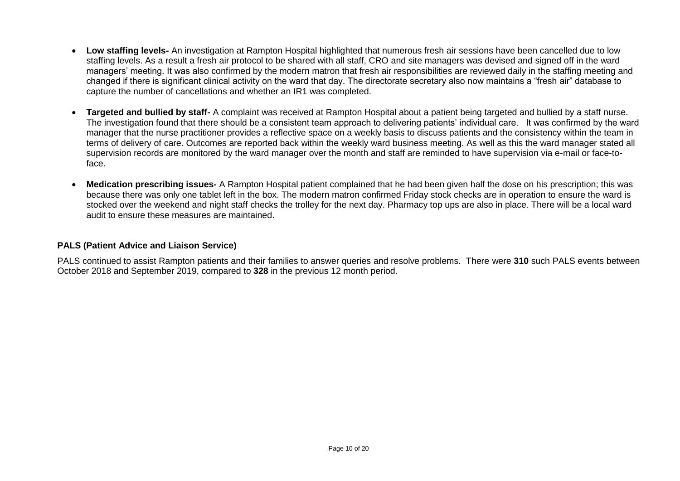- **Low staffing levels-** An investigation at Rampton Hospital highlighted that numerous fresh air sessions have been cancelled due to low staffing levels. As a result a fresh air protocol to be shared with all staff, CRO and site managers was devised and signed off in the ward managers' meeting. It was also confirmed by the modern matron that fresh air responsibilities are reviewed daily in the staffing meeting and changed if there is significant clinical activity on the ward that day. The directorate secretary also now maintains a "fresh air" database to capture the number of cancellations and whether an IR1 was completed.
- **Targeted and bullied by staff-** A complaint was received at Rampton Hospital about a patient being targeted and bullied by a staff nurse. The investigation found that there should be a consistent team approach to delivering patients' individual care. It was confirmed by the ward manager that the nurse practitioner provides a reflective space on a weekly basis to discuss patients and the consistency within the team in terms of delivery of care. Outcomes are reported back within the weekly ward business meeting. As well as this the ward manager stated all supervision records are monitored by the ward manager over the month and staff are reminded to have supervision via e-mail or face-toface.
- **Medication prescribing issues-** A Rampton Hospital patient complained that he had been given half the dose on his prescription; this was because there was only one tablet left in the box. The modern matron confirmed Friday stock checks are in operation to ensure the ward is stocked over the weekend and night staff checks the trolley for the next day. Pharmacy top ups are also in place. There will be a local ward audit to ensure these measures are maintained.

### **PALS (Patient Advice and Liaison Service)**

PALS continued to assist Rampton patients and their families to answer queries and resolve problems. There were **310** such PALS events between October 2018 and September 2019, compared to **328** in the previous 12 month period.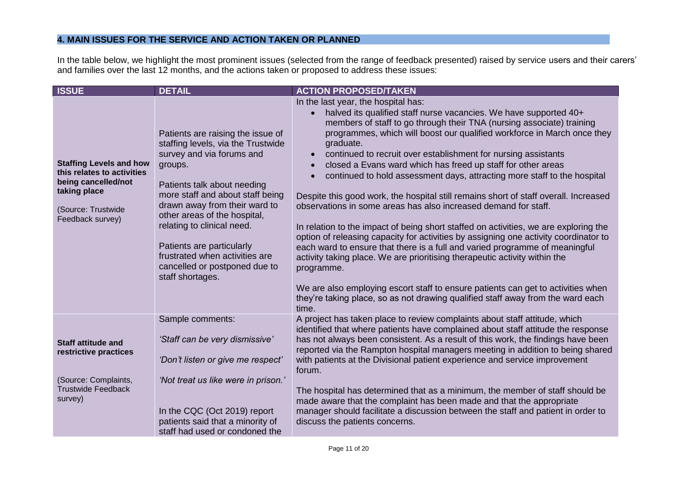# **4. MAIN ISSUES FOR THE SERVICE AND ACTION TAKEN OR PLANNED**

In the table below, we highlight the most prominent issues (selected from the range of feedback presented) raised by service users and their carers' and families over the last 12 months, and the actions taken or proposed to address these issues:

| <b>ISSUE</b>                                                                                                                                  | <b>DETAIL</b>                                                                                                                                                                                                                                                                                                                                                                                         | <b>ACTION PROPOSED/TAKEN</b>                                                                                                                                                                                                                                                                                                                                                                                                                                                                                                                                                                                                                                                                                                                                                                                                                                                                                                                                                                                                                                                                                                                                                                                                                      |
|-----------------------------------------------------------------------------------------------------------------------------------------------|-------------------------------------------------------------------------------------------------------------------------------------------------------------------------------------------------------------------------------------------------------------------------------------------------------------------------------------------------------------------------------------------------------|---------------------------------------------------------------------------------------------------------------------------------------------------------------------------------------------------------------------------------------------------------------------------------------------------------------------------------------------------------------------------------------------------------------------------------------------------------------------------------------------------------------------------------------------------------------------------------------------------------------------------------------------------------------------------------------------------------------------------------------------------------------------------------------------------------------------------------------------------------------------------------------------------------------------------------------------------------------------------------------------------------------------------------------------------------------------------------------------------------------------------------------------------------------------------------------------------------------------------------------------------|
| <b>Staffing Levels and how</b><br>this relates to activities<br>being cancelled/not<br>taking place<br>(Source: Trustwide<br>Feedback survey) | Patients are raising the issue of<br>staffing levels, via the Trustwide<br>survey and via forums and<br>groups.<br>Patients talk about needing<br>more staff and about staff being<br>drawn away from their ward to<br>other areas of the hospital,<br>relating to clinical need.<br>Patients are particularly<br>frustrated when activities are<br>cancelled or postponed due to<br>staff shortages. | In the last year, the hospital has:<br>halved its qualified staff nurse vacancies. We have supported 40+<br>$\bullet$<br>members of staff to go through their TNA (nursing associate) training<br>programmes, which will boost our qualified workforce in March once they<br>graduate.<br>continued to recruit over establishment for nursing assistants<br>$\bullet$<br>closed a Evans ward which has freed up staff for other areas<br>$\bullet$<br>continued to hold assessment days, attracting more staff to the hospital<br>$\bullet$<br>Despite this good work, the hospital still remains short of staff overall. Increased<br>observations in some areas has also increased demand for staff.<br>In relation to the impact of being short staffed on activities, we are exploring the<br>option of releasing capacity for activities by assigning one activity coordinator to<br>each ward to ensure that there is a full and varied programme of meaningful<br>activity taking place. We are prioritising therapeutic activity within the<br>programme.<br>We are also employing escort staff to ensure patients can get to activities when<br>they're taking place, so as not drawing qualified staff away from the ward each<br>time. |
| <b>Staff attitude and</b><br>restrictive practices<br>(Source: Complaints,<br><b>Trustwide Feedback</b><br>survey)                            | Sample comments:<br>'Staff can be very dismissive'<br>'Don't listen or give me respect'<br>'Not treat us like were in prison.'                                                                                                                                                                                                                                                                        | A project has taken place to review complaints about staff attitude, which<br>identified that where patients have complained about staff attitude the response<br>has not always been consistent. As a result of this work, the findings have been<br>reported via the Rampton hospital managers meeting in addition to being shared<br>with patients at the Divisional patient experience and service improvement<br>forum.<br>The hospital has determined that as a minimum, the member of staff should be<br>made aware that the complaint has been made and that the appropriate                                                                                                                                                                                                                                                                                                                                                                                                                                                                                                                                                                                                                                                              |
|                                                                                                                                               | In the CQC (Oct 2019) report<br>patients said that a minority of<br>staff had used or condoned the                                                                                                                                                                                                                                                                                                    | manager should facilitate a discussion between the staff and patient in order to<br>discuss the patients concerns.                                                                                                                                                                                                                                                                                                                                                                                                                                                                                                                                                                                                                                                                                                                                                                                                                                                                                                                                                                                                                                                                                                                                |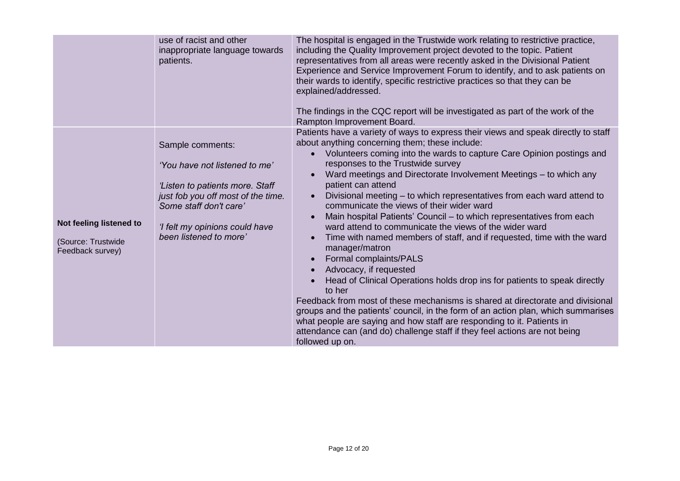|                                                                   | use of racist and other<br>inappropriate language towards<br>patients.                                                                                                                                           | The hospital is engaged in the Trustwide work relating to restrictive practice,<br>including the Quality Improvement project devoted to the topic. Patient<br>representatives from all areas were recently asked in the Divisional Patient<br>Experience and Service Improvement Forum to identify, and to ask patients on<br>their wards to identify, specific restrictive practices so that they can be<br>explained/addressed.<br>The findings in the CQC report will be investigated as part of the work of the<br>Rampton Improvement Board.                                                                                                                                                                                                                                                                                                                                                                                                                                                                                                                                                                                                                                                                                                   |
|-------------------------------------------------------------------|------------------------------------------------------------------------------------------------------------------------------------------------------------------------------------------------------------------|-----------------------------------------------------------------------------------------------------------------------------------------------------------------------------------------------------------------------------------------------------------------------------------------------------------------------------------------------------------------------------------------------------------------------------------------------------------------------------------------------------------------------------------------------------------------------------------------------------------------------------------------------------------------------------------------------------------------------------------------------------------------------------------------------------------------------------------------------------------------------------------------------------------------------------------------------------------------------------------------------------------------------------------------------------------------------------------------------------------------------------------------------------------------------------------------------------------------------------------------------------|
| Not feeling listened to<br>(Source: Trustwide<br>Feedback survey) | Sample comments:<br>'You have not listened to me'<br>'Listen to patients more. Staff<br>just fob you off most of the time.<br>Some staff don't care'<br>'I felt my opinions could have<br>been listened to more' | Patients have a variety of ways to express their views and speak directly to staff<br>about anything concerning them; these include:<br>Volunteers coming into the wards to capture Care Opinion postings and<br>responses to the Trustwide survey<br>Ward meetings and Directorate Involvement Meetings - to which any<br>patient can attend<br>Divisional meeting – to which representatives from each ward attend to<br>$\bullet$<br>communicate the views of their wider ward<br>Main hospital Patients' Council - to which representatives from each<br>ward attend to communicate the views of the wider ward<br>Time with named members of staff, and if requested, time with the ward<br>$\bullet$<br>manager/matron<br>Formal complaints/PALS<br>$\bullet$<br>Advocacy, if requested<br>$\bullet$<br>Head of Clinical Operations holds drop ins for patients to speak directly<br>to her<br>Feedback from most of these mechanisms is shared at directorate and divisional<br>groups and the patients' council, in the form of an action plan, which summarises<br>what people are saying and how staff are responding to it. Patients in<br>attendance can (and do) challenge staff if they feel actions are not being<br>followed up on. |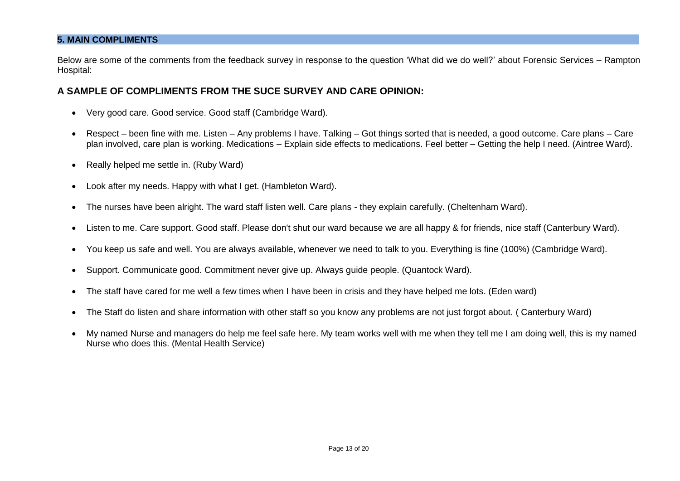### **5. MAIN COMPLIMENTS**

Below are some of the comments from the feedback survey in response to the question 'What did we do well?' about Forensic Services – Rampton Hospital:

## **A SAMPLE OF COMPLIMENTS FROM THE SUCE SURVEY AND CARE OPINION:**

- Very good care. Good service. Good staff (Cambridge Ward).
- Respect been fine with me. Listen Any problems I have. Talking Got things sorted that is needed, a good outcome. Care plans Care plan involved, care plan is working. Medications – Explain side effects to medications. Feel better – Getting the help I need. (Aintree Ward).
- Really helped me settle in. (Ruby Ward)
- Look after my needs. Happy with what I get. (Hambleton Ward).
- The nurses have been alright. The ward staff listen well. Care plans they explain carefully. (Cheltenham Ward).
- Listen to me. Care support. Good staff. Please don't shut our ward because we are all happy & for friends, nice staff (Canterbury Ward).
- You keep us safe and well. You are always available, whenever we need to talk to you. Everything is fine (100%) (Cambridge Ward).
- Support. Communicate good. Commitment never give up. Always guide people. (Quantock Ward).
- The staff have cared for me well a few times when I have been in crisis and they have helped me lots. (Eden ward)
- The Staff do listen and share information with other staff so you know any problems are not just forgot about. ( Canterbury Ward)
- My named Nurse and managers do help me feel safe here. My team works well with me when they tell me I am doing well, this is my named Nurse who does this. (Mental Health Service)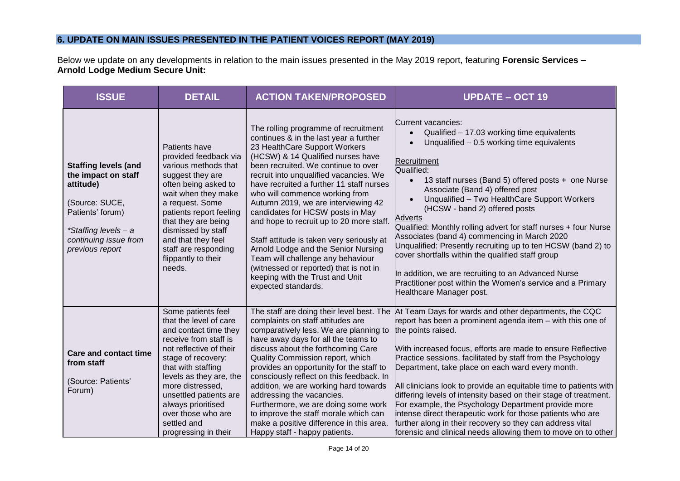## **6. UPDATE ON MAIN ISSUES PRESENTED IN THE PATIENT VOICES REPORT (MAY 2019)**

Below we update on any developments in relation to the main issues presented in the May 2019 report, featuring **Forensic Services – Arnold Lodge Medium Secure Unit:** 

| <b>ISSUE</b>                                                                                                                                                              | <b>DETAIL</b>                                                                                                                                                                                                                                                                                                                     | <b>ACTION TAKEN/PROPOSED</b>                                                                                                                                                                                                                                                                                                                                                                                                                                                                                                                                                                                                                                            | <b>UPDATE - OCT 19</b>                                                                                                                                                                                                                                                                                                                                                                                                                                                                                                                                                                                                                                                                                                            |
|---------------------------------------------------------------------------------------------------------------------------------------------------------------------------|-----------------------------------------------------------------------------------------------------------------------------------------------------------------------------------------------------------------------------------------------------------------------------------------------------------------------------------|-------------------------------------------------------------------------------------------------------------------------------------------------------------------------------------------------------------------------------------------------------------------------------------------------------------------------------------------------------------------------------------------------------------------------------------------------------------------------------------------------------------------------------------------------------------------------------------------------------------------------------------------------------------------------|-----------------------------------------------------------------------------------------------------------------------------------------------------------------------------------------------------------------------------------------------------------------------------------------------------------------------------------------------------------------------------------------------------------------------------------------------------------------------------------------------------------------------------------------------------------------------------------------------------------------------------------------------------------------------------------------------------------------------------------|
| <b>Staffing levels (and</b><br>the impact on staff<br>attitude)<br>(Source: SUCE,<br>Patients' forum)<br>*Staffing levels - a<br>continuing issue from<br>previous report | Patients have<br>provided feedback via<br>various methods that<br>suggest they are<br>often being asked to<br>wait when they make<br>a request. Some<br>patients report feeling<br>that they are being<br>dismissed by staff<br>and that they feel<br>staff are responding<br>flippantly to their<br>needs.                       | The rolling programme of recruitment<br>continues & in the last year a further<br>23 HealthCare Support Workers<br>(HCSW) & 14 Qualified nurses have<br>been recruited. We continue to over<br>recruit into unqualified vacancies. We<br>have recruited a further 11 staff nurses<br>who will commence working from<br>Autumn 2019, we are interviewing 42<br>candidates for HCSW posts in May<br>and hope to recruit up to 20 more staff.<br>Staff attitude is taken very seriously at<br>Arnold Lodge and the Senior Nursing<br>Team will challenge any behaviour<br>(witnessed or reported) that is not in<br>keeping with the Trust and Unit<br>expected standards. | Current vacancies:<br>Qualified - 17.03 working time equivalents<br>Unqualified $-0.5$ working time equivalents<br>Recruitment<br>Qualified:<br>13 staff nurses (Band 5) offered posts + one Nurse<br>Associate (Band 4) offered post<br>Unqualified - Two HealthCare Support Workers<br>(HCSW - band 2) offered posts<br><b>Adverts</b><br>Qualified: Monthly rolling advert for staff nurses + four Nurse<br>Associates (band 4) commencing in March 2020<br>Unqualified: Presently recruiting up to ten HCSW (band 2) to<br>cover shortfalls within the qualified staff group<br>In addition, we are recruiting to an Advanced Nurse<br>Practitioner post within the Women's service and a Primary<br>Healthcare Manager post. |
| <b>Care and contact time</b><br>from staff<br>(Source: Patients'<br>Forum)                                                                                                | Some patients feel<br>that the level of care<br>and contact time they<br>receive from staff is<br>not reflective of their<br>stage of recovery:<br>that with staffing<br>levels as they are, the<br>more distressed,<br>unsettled patients are<br>always prioritised<br>over those who are<br>settled and<br>progressing in their | The staff are doing their level best. The<br>complaints on staff attitudes are<br>comparatively less. We are planning to<br>have away days for all the teams to<br>discuss about the forthcoming Care<br>Quality Commission report, which<br>provides an opportunity for the staff to<br>consciously reflect on this feedback. In<br>addition, we are working hard towards<br>addressing the vacancies.<br>Furthermore, we are doing some work<br>to improve the staff morale which can<br>make a positive difference in this area.<br>Happy staff - happy patients.                                                                                                    | At Team Days for wards and other departments, the CQC<br>report has been a prominent agenda item - with this one of<br>the points raised.<br>With increased focus, efforts are made to ensure Reflective<br>Practice sessions, facilitated by staff from the Psychology<br>Department, take place on each ward every month.<br>All clinicians look to provide an equitable time to patients with<br>differing levels of intensity based on their stage of treatment.<br>For example, the Psychology Department provide more<br>intense direct therapeutic work for those patients who are<br>further along in their recovery so they can address vital<br>forensic and clinical needs allowing them to move on to other           |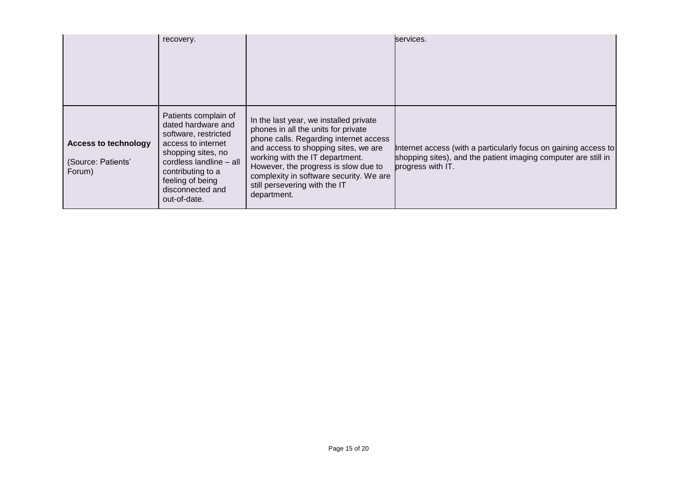|                                                             | recovery.                                                                                                                                                                                                              |                                                                                                                                                                                                                                                                                                                                       | services.                                                                                                                                              |
|-------------------------------------------------------------|------------------------------------------------------------------------------------------------------------------------------------------------------------------------------------------------------------------------|---------------------------------------------------------------------------------------------------------------------------------------------------------------------------------------------------------------------------------------------------------------------------------------------------------------------------------------|--------------------------------------------------------------------------------------------------------------------------------------------------------|
| <b>Access to technology</b><br>(Source: Patients'<br>Forum) | Patients complain of<br>dated hardware and<br>software, restricted<br>access to internet<br>shopping sites, no<br>cordless landline - all<br>contributing to a<br>feeling of being<br>disconnected and<br>out-of-date. | In the last year, we installed private<br>phones in all the units for private<br>phone calls. Regarding internet access<br>and access to shopping sites, we are<br>working with the IT department.<br>However, the progress is slow due to<br>complexity in software security. We are<br>still persevering with the IT<br>department. | Internet access (with a particularly focus on gaining access to<br>shopping sites), and the patient imaging computer are still in<br>progress with IT. |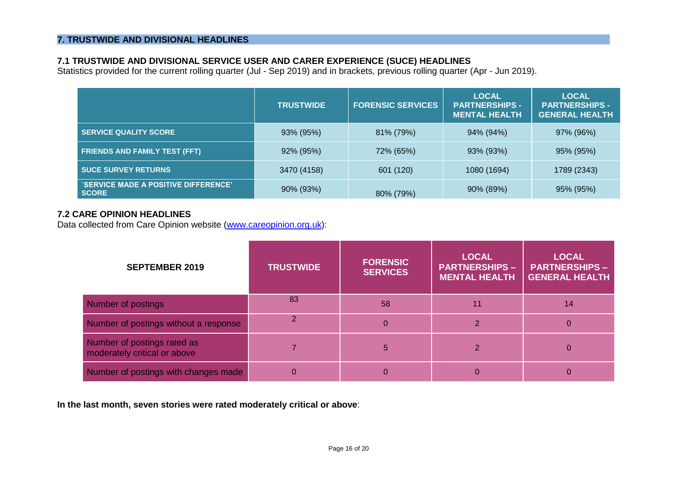## **7.1 TRUSTWIDE AND DIVISIONAL SERVICE USER AND CARER EXPERIENCE (SUCE) HEADLINES**

Statistics provided for the current rolling quarter (Jul - Sep 2019) and in brackets, previous rolling quarter (Apr - Jun 2019).

|                                                            | <b>TRUSTWIDE</b> | <b>FORENSIC SERVICES</b> | <b>LOCAL</b><br><b>PARTNERSHIPS -</b><br><b>MENTAL HEALTH</b> | <b>LOCAL</b><br><b>PARTNERSHIPS -</b><br><b>GENERAL HEALTH</b> |
|------------------------------------------------------------|------------------|--------------------------|---------------------------------------------------------------|----------------------------------------------------------------|
| <b>SERVICE QUALITY SCORE</b>                               | 93% (95%)        | 81% (79%)                | 94% (94%)                                                     | 97% (96%)                                                      |
| <b>FRIENDS AND FAMILY TEST (FFT)</b>                       | 92% (95%)        | 72% (65%)                | 93% (93%)                                                     | 95% (95%)                                                      |
| <b>SUCE SURVEY RETURNS</b>                                 | 3470 (4158)      | 601 (120)                | 1080 (1694)                                                   | 1789 (2343)                                                    |
| <b>SERVICE MADE A POSITIVE DIFFERENCE'</b><br><b>SCORE</b> | 90% (93%)        | 80% (79%)                | 90% (89%)                                                     | 95% (95%)                                                      |

## **7.2 CARE OPINION HEADLINES**

Data collected from Care Opinion website [\(www.careopinion.org.uk\)](http://www.careopinion.org.uk/):

| <b>SEPTEMBER 2019</b>                                       | <b>TRUSTWIDE</b> | <b>FORENSIC</b><br><b>SERVICES</b> | <b>LOCAL</b><br><b>PARTNERSHIPS -</b><br><b>MENTAL HEALTH</b> | <b>LOCAL</b><br><b>PARTNERSHIPS -</b><br><b>GENERAL HEALTH</b> |
|-------------------------------------------------------------|------------------|------------------------------------|---------------------------------------------------------------|----------------------------------------------------------------|
| Number of postings                                          | 83               | 58                                 | 11                                                            | 14                                                             |
| Number of postings without a response                       |                  | $\bf{0}$                           |                                                               | $\overline{0}$                                                 |
| Number of postings rated as<br>moderately critical or above |                  | 5                                  |                                                               | $\Omega$                                                       |
| Number of postings with changes made                        |                  | 0                                  |                                                               |                                                                |

**In the last month, seven stories were rated moderately critical or above**: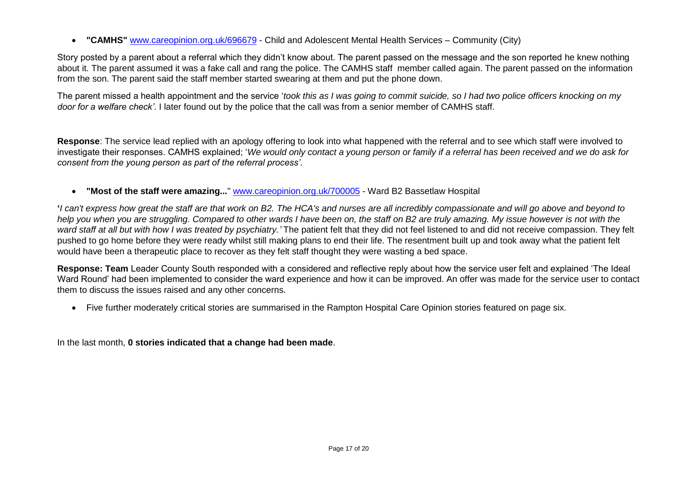• **"CAMHS"** [www.careopinion.org.uk/696679](http://www.careopinion.org.uk/696679) - Child and Adolescent Mental Health Services – Community (City)

Story posted by a parent about a referral which they didn't know about. The parent passed on the message and the son reported he knew nothing about it. The parent assumed it was a fake call and rang the police. The CAMHS staff member called again. The parent passed on the information from the son. The parent said the staff member started swearing at them and put the phone down.

The parent missed a health appointment and the service '*took this as I was going to commit suicide, so I had two police officers knocking on my door for a welfare check'*. I later found out by the police that the call was from a senior member of CAMHS staff.

**Response**: The service lead replied with an apology offering to look into what happened with the referral and to see which staff were involved to investigate their responses. CAMHS explained; '*We would only contact a young person or family if a referral has been received and we do ask for consent from the young person as part of the referral process'*.

• **"Most of the staff were amazing...**" [www.careopinion.org.uk/700005](http://www.careopinion.org.uk/700005) - Ward B2 Bassetlaw Hospital

**'***I can't express how great the staff are that work on B2. The HCA's and nurses are all incredibly compassionate and will go above and beyond to help you when you are struggling. Compared to other wards I have been on, the staff on B2 are truly amazing. My issue however is not with the ward staff at all but with how I was treated by psychiatry.'* The patient felt that they did not feel listened to and did not receive compassion. They felt pushed to go home before they were ready whilst still making plans to end their life. The resentment built up and took away what the patient felt would have been a therapeutic place to recover as they felt staff thought they were wasting a bed space.

**Response: Team** Leader County South responded with a considered and reflective reply about how the service user felt and explained 'The Ideal Ward Round' had been implemented to consider the ward experience and how it can be improved. An offer was made for the service user to contact them to discuss the issues raised and any other concerns.

• Five further moderately critical stories are summarised in the Rampton Hospital Care Opinion stories featured on page six.

In the last month, **0 stories indicated that a change had been made**.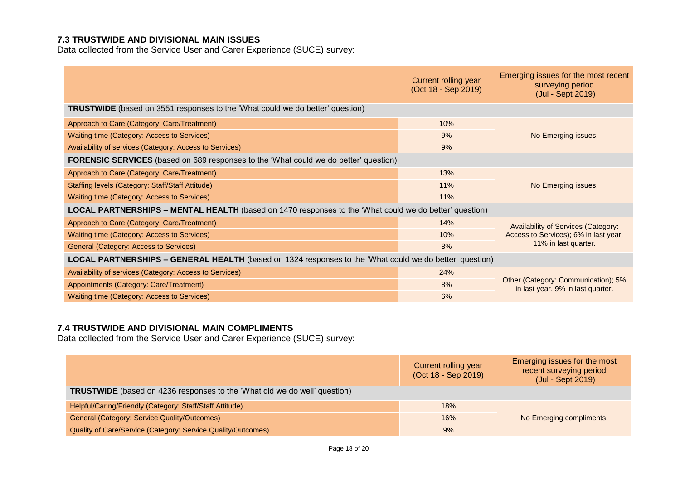# **7.3 TRUSTWIDE AND DIVISIONAL MAIN ISSUES**

Data collected from the Service User and Carer Experience (SUCE) survey:

|                                                                                                                | Current rolling year<br>(Oct 18 - Sep 2019) | Emerging issues for the most recent<br>surveying period<br>(Jul - Sept 2019) |  |
|----------------------------------------------------------------------------------------------------------------|---------------------------------------------|------------------------------------------------------------------------------|--|
| <b>TRUSTWIDE</b> (based on 3551 responses to the 'What could we do better' question)                           |                                             |                                                                              |  |
| Approach to Care (Category: Care/Treatment)                                                                    | 10%                                         |                                                                              |  |
| Waiting time (Category: Access to Services)                                                                    | 9%                                          | No Emerging issues.                                                          |  |
| Availability of services (Category: Access to Services)                                                        | 9%                                          |                                                                              |  |
| <b>FORENSIC SERVICES</b> (based on 689 responses to the 'What could we do better' question)                    |                                             |                                                                              |  |
| Approach to Care (Category: Care/Treatment)                                                                    | 13%                                         |                                                                              |  |
| Staffing levels (Category: Staff/Staff Attitude)                                                               | 11%                                         | No Emerging issues.                                                          |  |
| Waiting time (Category: Access to Services)                                                                    | 11%                                         |                                                                              |  |
| <b>LOCAL PARTNERSHIPS - MENTAL HEALTH</b> (based on 1470 responses to the 'What could we do better' question)  |                                             |                                                                              |  |
| Approach to Care (Category: Care/Treatment)                                                                    | 14%                                         | <b>Availability of Services (Category:</b>                                   |  |
| Waiting time (Category: Access to Services)                                                                    | 10%                                         | Access to Services); 6% in last year,<br>11% in last quarter.                |  |
| General (Category: Access to Services)                                                                         | 8%                                          |                                                                              |  |
| <b>LOCAL PARTNERSHIPS – GENERAL HEALTH</b> (based on 1324 responses to the 'What could we do better' question) |                                             |                                                                              |  |
| Availability of services (Category: Access to Services)                                                        | 24%                                         |                                                                              |  |
| Appointments (Category: Care/Treatment)                                                                        | 8%                                          | Other (Category: Communication); 5%<br>in last year, 9% in last quarter.     |  |
| Waiting time (Category: Access to Services)                                                                    | 6%                                          |                                                                              |  |

## **7.4 TRUSTWIDE AND DIVISIONAL MAIN COMPLIMENTS**

Data collected from the Service User and Carer Experience (SUCE) survey:

|                                                                           | Current rolling year<br>(Oct 18 - Sep 2019) | Emerging issues for the most<br>recent surveying period<br>(Jul - Sept 2019) |
|---------------------------------------------------------------------------|---------------------------------------------|------------------------------------------------------------------------------|
| TRUSTWIDE (based on 4236 responses to the 'What did we do well' question) |                                             |                                                                              |
| Helpful/Caring/Friendly (Category: Staff/Staff Attitude)                  | 18%                                         |                                                                              |
| General (Category: Service Quality/Outcomes)                              | 16%                                         | No Emerging compliments.                                                     |
| Quality of Care/Service (Category: Service Quality/Outcomes)              | 9%                                          |                                                                              |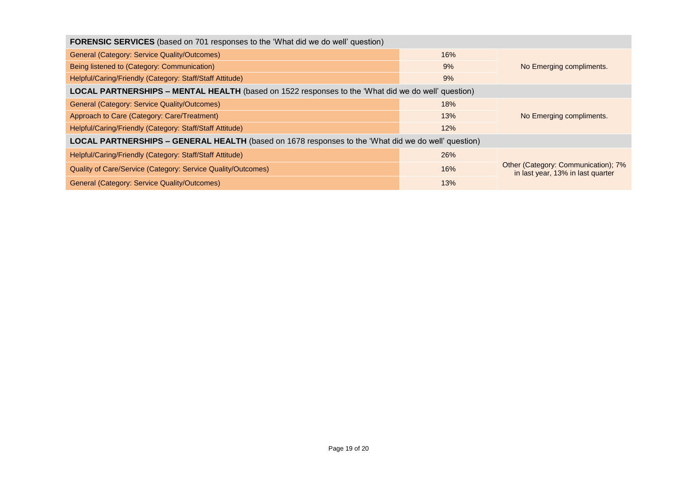| <b>FORENSIC SERVICES</b> (based on 701 responses to the 'What did we do well' question)                    |                                |                                                                          |  |
|------------------------------------------------------------------------------------------------------------|--------------------------------|--------------------------------------------------------------------------|--|
| General (Category: Service Quality/Outcomes)                                                               | 16%                            |                                                                          |  |
| Being listened to (Category: Communication)                                                                | 9%<br>No Emerging compliments. |                                                                          |  |
| Helpful/Caring/Friendly (Category: Staff/Staff Attitude)                                                   | 9%                             |                                                                          |  |
| <b>LOCAL PARTNERSHIPS – MENTAL HEALTH</b> (based on 1522 responses to the 'What did we do well' question)  |                                |                                                                          |  |
| General (Category: Service Quality/Outcomes)                                                               | 18%                            |                                                                          |  |
| Approach to Care (Category: Care/Treatment)                                                                | 13%                            | No Emerging compliments.                                                 |  |
| Helpful/Caring/Friendly (Category: Staff/Staff Attitude)                                                   | 12%                            |                                                                          |  |
| <b>LOCAL PARTNERSHIPS – GENERAL HEALTH</b> (based on 1678 responses to the 'What did we do well' question) |                                |                                                                          |  |
| Helpful/Caring/Friendly (Category: Staff/Staff Attitude)                                                   | 26%                            |                                                                          |  |
| Quality of Care/Service (Category: Service Quality/Outcomes)                                               | 16%                            | Other (Category: Communication); 7%<br>in last year, 13% in last quarter |  |
| General (Category: Service Quality/Outcomes)                                                               | 13%                            |                                                                          |  |